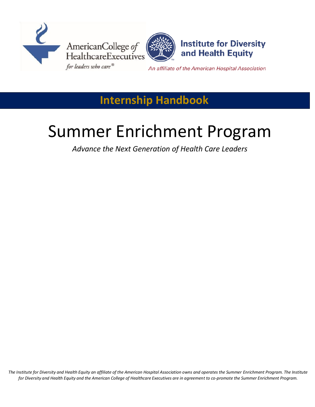



**Institute for Diversity** and Health Equity

An affiliate of the American Hospital Association

## **Internship Handbook**

# Summer Enrichment Program

*Advance the Next Generation of Health Care Leaders*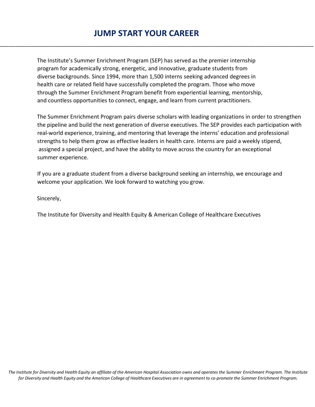### **JUMP START YOUR CAREER**

\_\_\_\_\_\_\_\_\_\_\_\_\_\_\_\_\_\_\_\_\_\_\_\_\_\_\_\_\_\_\_\_\_\_\_\_\_\_\_\_\_\_\_\_\_\_\_\_\_\_\_\_\_\_\_\_\_\_\_\_\_\_\_\_\_\_\_\_\_\_\_\_\_\_\_\_\_\_\_\_\_\_\_\_\_\_\_\_\_\_\_\_\_\_\_\_\_\_\_\_\_\_

The Institute's Summer Enrichment Program (SEP) has served as the premier internship program for academically strong, energetic, and innovative, graduate students from diverse backgrounds. Since 1994, more than 1,500 interns seeking advanced degrees in health care or related field have successfully completed the program. Those who move through the Summer Enrichment Program benefit from experiential learning, mentorship, and countless opportunities to connect, engage, and learn from current practitioners.

The Summer Enrichment Program pairs diverse scholars with leading organizations in order to strengthen the pipeline and build the next generation of diverse executives. The SEP provides each participation with real-world experience, training, and mentoring that leverage the interns' education and professional strengths to help them grow as effective leaders in health care. Interns are paid a weekly stipend, assigned a special project, and have the ability to move across the country for an exceptional summer experience.

If you are a graduate student from a diverse background seeking an internship, we encourage and welcome your application. We look forward to watching you grow.

Sincerely,

The Institute for Diversity and Health Equity & American College of Healthcare Executives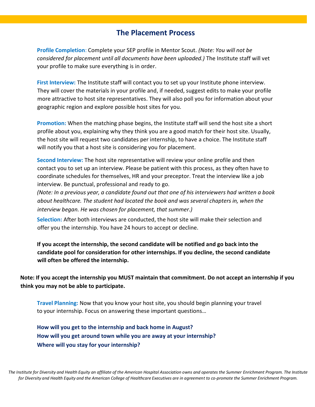#### **The Placement Process**

**Profile Completion**: Complete your SEP profile in Mentor Scout. *(Note: You will not be considered for placement until all documents have been uploaded.)* The Institute staff will vet your profile to make sure everything is in order.

**First Interview:** The Institute staff will contact you to set up your Institute phone interview. They will cover the materials in your profile and, if needed, suggest edits to make your profile more attractive to host site representatives. They will also poll you for information about your geographic region and explore possible host sites for you.

**Promotion:** When the matching phase begins, the Institute staff will send the host site a short profile about you, explaining why they think you are a good match for their host site. Usually, the host site will request two candidates per internship, to have a choice. The Institute staff will notify you that a host site is considering you for placement.

**Second Interview:** The host site representative will review your online profile and then contact you to set up an interview. Please be patient with this process, as they often have to coordinate schedules for themselves, HR and your preceptor. Treat the interview like a job interview. Be punctual, professional and ready to go.

*(Note: In a previous year, a candidate found out that one of his interviewers had written a book about healthcare. The student had located the book and was several chapters in, when the interview began. He was chosen for placement, that summer.)*

**Selection:** After both interviews are conducted, the host site will make their selection and offer you the internship. You have 24 hours to accept or decline.

**If you accept the internship, the second candidate will be notified and go back into the candidate pool for consideration for other internships. If you decline, the second candidate will often be offered the internship.** 

**Note: If you accept the internship you MUST maintain that commitment. Do not accept an internship if you think you may not be able to participate.**

**Travel Planning:** Now that you know your host site, you should begin planning your travel to your internship. Focus on answering these important questions…

**How will you get to the internship and back home in August? How will you get around town while you are away at your internship? Where will you stay for your internship?**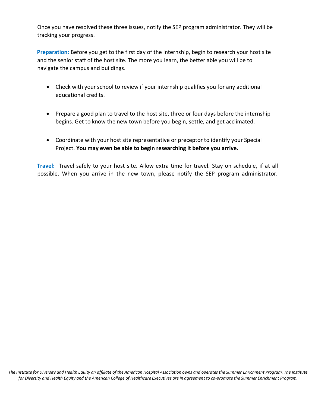Once you have resolved these three issues, notify the SEP program administrator. They will be tracking your progress.

**Preparation:** Before you get to the first day of the internship, begin to research your host site and the senior staff of the host site. The more you learn, the better able you will be to navigate the campus and buildings.

- Check with your school to review if your internship qualifies you for any additional educational credits.
- Prepare a good plan to travel to the host site, three or four days before the internship begins. Get to know the new town before you begin, settle, and get acclimated.
- Coordinate with your host site representative or preceptor to identify your Special Project. **You may even be able to begin researching it before you arrive.**

**Travel:** Travel safely to your host site. Allow extra time for travel. Stay on schedule, if at all possible. When you arrive in the new town, please notify the SEP program administrator.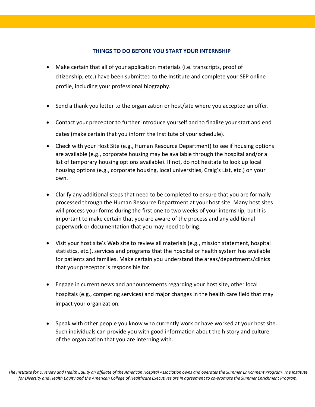#### **THINGS TO DO BEFORE YOU START YOUR INTERNSHIP**

- Make certain that all of your application materials (i.e. transcripts, proof of citizenship, etc.) have been submitted to the Institute and complete your SEP online profile, including your professional biography.
- Send a thank you letter to the organization or host/site where you accepted an offer.
- Contact your preceptor to further introduce yourself and to finalize your start and end dates (make certain that you inform the Institute of your schedule).
- Check with your Host Site (e.g., Human Resource Department) to see if housing options are available (e.g., corporate housing may be available through the hospital and/or a list of temporary housing options available). If not, do not hesitate to look up local housing options (e.g., corporate housing, local universities, Craig's List, etc.) on your own.
- Clarify any additional steps that need to be completed to ensure that you are formally processed through the Human Resource Department at your host site. Many host sites will process your forms during the first one to two weeks of your internship, but it is important to make certain that you are aware of the process and any additional paperwork or documentation that you may need to bring.
- Visit your host site's Web site to review all materials (e.g., mission statement, hospital statistics, etc.), services and programs that the hospital or health system has available for patients and families. Make certain you understand the areas/departments/clinics that your preceptor is responsible for.
- Engage in current news and announcements regarding your host site, other local hospitals (e.g., competing services) and major changes in the health care field that may impact your organization.
- Speak with other people you know who currently work or have worked at your host site. Such individuals can provide you with good information about the history and culture of the organization that you are interning with.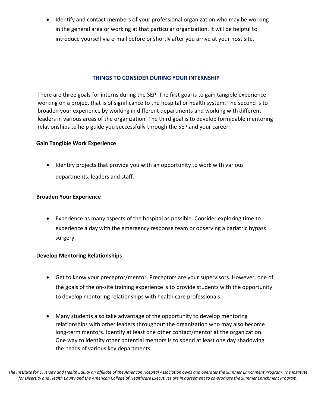• Identify and contact members of your professional organization who may be working in the general area or working at that particular organization. It will be helpful to introduce yourself via e-mail before or shortly after you arrive at your host site.

#### **THINGS TO CONSIDER DURING YOUR INTERNSHIP**

There are three goals for interns during the SEP. The first goal is to gain tangible experience working on a project that is of significance to the hospital or health system. The second is to broaden your experience by working in different departments and working with different leaders in various areas of the organization. The third goal is to develop formidable mentoring relationships to help guide you successfully through the SEP and your career.

#### **Gain Tangible Work Experience**

 Identify projects that provide you with an opportunity to work with various departments, leaders and staff.

#### **Broaden Your Experience**

 Experience as many aspects of the hospital as possible. Consider exploring time to experience a day with the emergency response team or observing a bariatric bypass surgery.

#### **Develop Mentoring Relationships**

- Get to know your preceptor/mentor. Preceptors are your supervisors. However, one of the goals of the on-site training experience is to provide students with the opportunity to develop mentoring relationships with health care professionals.
- Many students also take advantage of the opportunity to develop mentoring relationships with other leaders throughout the organization who may also become long-term mentors. Identify at least one other contact/mentor at the organization. One way to identify other potential mentors is to spend at least one day shadowing the heads of various key departments.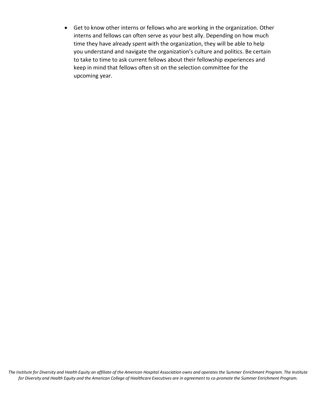Get to know other interns or fellows who are working in the organization. Other interns and fellows can often serve as your best ally. Depending on how much time they have already spent with the organization, they will be able to help you understand and navigate the organization's culture and politics. Be certain to take to time to ask current fellows about their fellowship experiences and keep in mind that fellows often sit on the selection committee for the upcoming year.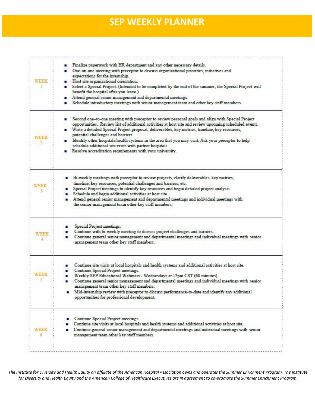## **SEP WEEKLY PLANNER**

| WEEK      | Finalize paperwork with HR department and any other necessary details.<br>One-on-one meeting with preceptor to discuss organizational priorities, initiatives and<br>о<br>expectations for the internship.<br>Host site organizational orientation.<br>Select a Special Project. (Intended to be completed by the end of the summer, the Special Project will<br>benefit the hospital after you leave.)<br>Attend general senior management and departmental meetings.<br>Schedule introductory meetings with senior management team and other key staff members.                    |
|-----------|--------------------------------------------------------------------------------------------------------------------------------------------------------------------------------------------------------------------------------------------------------------------------------------------------------------------------------------------------------------------------------------------------------------------------------------------------------------------------------------------------------------------------------------------------------------------------------------|
| WEEK      | Second one-to-one meeting with preceptor to review personal goals and align with Special Project<br>ο<br>opportunities. Review list of additional activities at host site and review upcoming scheduled events.<br>Write a detailed Special Project proposal, deliverables, key metrics, timeline, key resources,<br>potential challenges and barriers.<br>Identify other hospitals/health systems in the area that you may visit. Ask your preceptor to help<br>schedule additional site visits with partner hospitals.<br>Resolve accreditation requirements with your university. |
| WEEK      | Bi-weekly meetings with preceptor to review projects, clarify deliverables, key metrics,<br>timeline, key resources, potential challenges and barriers, etc.<br>Special Project meetings to identify key resources and begin detailed project analysis.<br>Schedule and begin additional activities at host site.<br>Attend general senior management and departmental meetings and individual meetings with<br>the senior management team other key staff members.                                                                                                                  |
| WEEK      | Special Project meetings.<br>Continue with bi-weekly meeting to discuss project challenges and barriers.<br>Continue general senior management and departmental meetings and individual meetings with senior<br>management team other key staff members.                                                                                                                                                                                                                                                                                                                             |
| WEEK<br>5 | Continue site visits at local hospitals and health systems and additional activities at host site.<br>▪<br>Continue Special Project meetings.<br>Weekly SEP Educational Webinars - Wednesdays at 12pm CST (60 minutes).<br>Continue general senior management and departmental meetings and individual meetings with senior<br>п<br>management team other key staff members.<br>Mid-internship review with preceptor to discuss performance-to-date and identify any additional<br>opportunities for professional development.                                                       |
| WEEK      | Continue Special Project meetings<br>α<br>Continue site visits at local hospitals and health systems and additional activities at host site.<br>Continue general senior management and departmental meetings and individual meetings with senior<br>management team other key staff members.                                                                                                                                                                                                                                                                                         |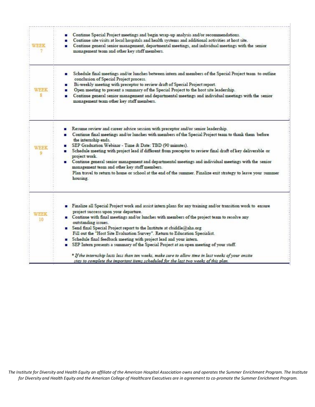| WEEK       | Continue Special Project meetings and begin wrap-up analysis and/or recommendations.<br>Continue site visits at local hospitals and health systems and additional activities at host site.<br>Continue general senior management, departmental meetings, and individual meetings with the senior<br>management team and other key staff members.                                                                                                                                                                                                                                                                                                                                                |
|------------|-------------------------------------------------------------------------------------------------------------------------------------------------------------------------------------------------------------------------------------------------------------------------------------------------------------------------------------------------------------------------------------------------------------------------------------------------------------------------------------------------------------------------------------------------------------------------------------------------------------------------------------------------------------------------------------------------|
| WEEK<br>s  | Schedule final meetings and/or lunches between intern and members of the Special Project team to outline<br>conclusion of Special Project process.<br>Bi-weekly meeting with preceptor to review draft of Special Project report.<br>Open meeting to present a summary of the Special Project to the host site leadership.<br>Continue general senior management and departmental meetings and individual meetings with the senior<br>. .<br>management team other key staff members.                                                                                                                                                                                                           |
| WEEK<br>٥  | Resume review and career advice session with preceptor and/or senior leadership.<br>Continue final meetings and/or lunches with members of the Special Project team to thank them before<br>the internship ends.<br>SEP Graduation Webinar - Time & Date: TBD (90 minutes).<br>Schedule meeting with project lead if different from preceptor to review final draft of key deliverable or<br>project work.<br>Continue general senior management and departmental meetings and individual meetings with the senior<br>management team and other key staff members.<br>Plan travel to return to home or school at the end of the summer. Finalize exit strategy to leave your summer<br>housing. |
| WEEK<br>10 | Finalize all Special Project work and assist intern plans for any training and/or transition work to ensure<br>project success upon your departure.<br>Continue with final meetings and/or lunches with members of the project team to resolve any<br>outstanding issues.<br>Send final Special Project report to the Institute at cbiddle@aha.org<br>Fill out the "Host Site Evaluation Survey". Return to Education Specialist.<br>Schedule final feedback meeting with project lead and your intern.<br>SEP Intern presents a summary of the Special Project at an open meeting of your staff.                                                                                               |
|            | * If the internship lasts less than ten weeks, make sure to allow time in last weeks of your onsite<br>stay to complete the important items scheduled for the last two weeks of this plan.                                                                                                                                                                                                                                                                                                                                                                                                                                                                                                      |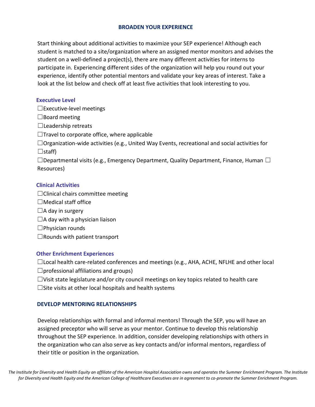#### **BROADEN YOUR EXPERIENCE**

Start thinking about additional activities to maximize your SEP experience! Although each student is matched to a site/organization where an assigned mentor monitors and advises the student on a well-defined a project(s), there are many different activities for interns to participate in. Experiencing different sides of the organization will help you round out your experience, identify other potential mentors and validate your key areas of interest. Take a look at the list below and check off at least five activities that look interesting to you.

#### **Executive Level**

 $\Box$ Executive-level meetings

 $\Box$ Board meeting

 $\Box$ Leadership retreats

 $\Box$ Travel to corporate office, where applicable

 $\Box$ Organization-wide activities (e.g., United Way Events, recreational and social activities for ☐staff)

 $\Box$ Departmental visits (e.g., Emergency Department, Quality Department, Finance, Human  $\Box$ Resources)

#### **Clinical Activities**

 $\Box$ Clinical chairs committee meeting

- $\Box$ Medical staff office
- $\Box$ A day in surgery
- $\Box$ A day with a physician liaison
- $\square$ Physician rounds
- $\Box$ Rounds with patient transport

#### **Other Enrichment Experiences**

☐Local health care-related conferences and meetings (e.g., AHA, ACHE, NFLHE and other local

 $\Box$ professional affiliations and groups)

- ☐Visit state legislature and/or city council meetings on key topics related to health care
- $\Box$ Site visits at other local hospitals and health systems

#### **DEVELOP MENTORING RELATIONSHIPS**

Develop relationships with formal and informal mentors! Through the SEP, you will have an assigned preceptor who will serve as your mentor. Continue to develop this relationship throughout the SEP experience. In addition, consider developing relationships with others in the organization who can also serve as key contacts and/or informal mentors, regardless of their title or position in the organization.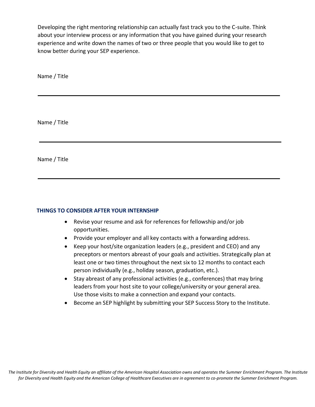Developing the right mentoring relationship can actually fast track you to the C-suite. Think about your interview process or any information that you have gained during your research experience and write down the names of two or three people that you would like to get to know better during your SEP experience.

Name / Title

Name / Title

Name / Title

#### **THINGS TO CONSIDER AFTER YOUR INTERNSHIP**

- Revise your resume and ask for references for fellowship and/or job opportunities.
- Provide your employer and all key contacts with a forwarding address.
- Keep your host/site organization leaders (e.g., president and CEO) and any preceptors or mentors abreast of your goals and activities. Strategically plan at least one or two times throughout the next six to 12 months to contact each person individually (e.g., holiday season, graduation, etc.).
- Stay abreast of any professional activities (e.g., conferences) that may bring leaders from your host site to your college/university or your general area. Use those visits to make a connection and expand your contacts.
- Become an SEP highlight by submitting your SEP Success Story to the Institute.